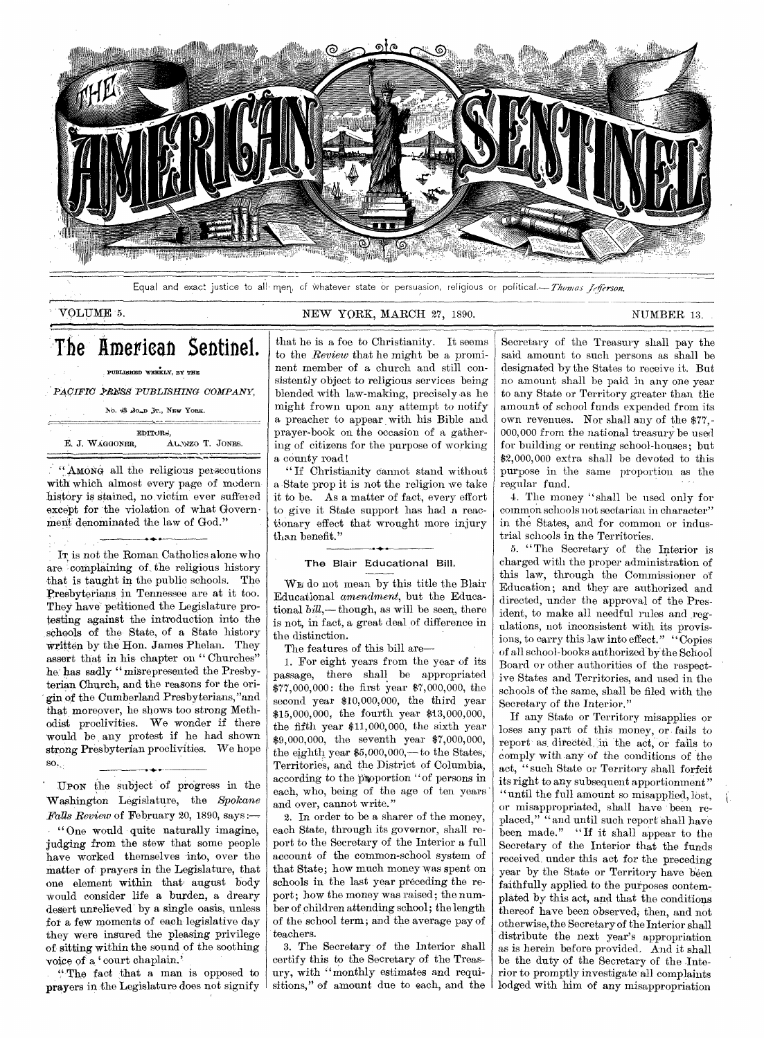

Equal and exact justice to all men, of whatever state or persuasion, religious or political.---Thomas Jefferson.

# VOLUME 5. NEW YORK, MARCH 27, 1890. NUMBER 13.

# The American Sentinel.

PUBLISHED WEEKLY, BY THE

PACIFIC PRESS PUBLISHING COMPANY,

No. 43 BoLD 3T., NEW YORK.

EbITORd, E. J. WAGGONER. ALWZO T. JONES.

"AMONG all the religious persecutions with which almost every page of modern history is stained, no victim ever suffered except for the violation of what Government denominated the law of God."

•

IT is not the Roman Catholics alone who are complaining of the religious history that is taught in the public schools. The Presbyterians in Tennessee are at it too. They have petitioned the Legislature protesting against the introduction into the schools of the State, of a State history written by the Hon. James Phelan. They assert that in his chapter on " Churches" he has sadly " misrepresented the Presbyterian Church, and the reasons for the origin of the Cumberland Presbyterians, "and that moreover, he shows too strong Methodist proclivities. We wonder if there would be any protest if he had shown strong Presbyterian proclivities. We hope SO.,

UPON the subject of progress in the Washington Legislature, the *Spokane Falls Review* of February 20, 1890, says :— " One would quite naturally imagine, judging from the stew that some people have worked themselves into, over the matter of prayers in the Legislature, that one element within that august body would consider life a burden, a dreary desert unrelieved by a single oasis, unless for a few moments of each legislative day they were insured the pleasing privilege of sitting within the sound of the soothing voice of a 'court chaplain.'

"The fact that a man is opposed to prayers in the Legislature does not signify

that he is a foe to Christianity. It seems to the *Review* that he might be a prominent member of a church and still consistently object to religious services being blended with law-making, precisely as he might frown upon any attempt to notify a preacher to appear with his Bible and prayer-book on the occasion of a gathering of citizens for the purpose of working a county road

" If Christianity Cannot stand without a State prop it is not the religion we take it to be. As a matter of fact, every effort to give it State support has had a reactionary effect that wrought more injury than benefit."

### The Blair Educational Bill.

WE do not mean by this title the Blair Educational *amendment,* but the Educational *bill,—* though, as will be seen, there is not, in fact, a great deal of difference in the distinction.

The features of this bill are-

1. For eight years from the year of its passage, there shall be appropriated \$77,000,000 : the first year \$7,000,000, the second year \$10,000,000, the third year \$15,000,000, the fourth year \$13,000,000, the fifth year \$11,000,000, the sixth year \$9,000,000, the seventh year \$7,000,000, the eighth year  $$5,000,000,-$  to the States, Territories, and the District of Columbia, according to the proportion "of persons in each, who, being of the age of ten years and over, cannot write."

2. In order to be a sharer of the money, each State, through its governor, shall report to the Secretary of the Interior a full account of the common-school system of that State; how much money was spent on schools in the last year preceding the report; how the money was raised; the number of children attending school; the length of the school term; and the average pay of teachers.

3. The Secretary of the Interior shall certify this to the Secretary of the Treasury, with "monthly estimates and requisitions," of amount due to each, and the

Secretary of the Treasury shall pay the said amount to such persons as shall be designated by the States to receive it. But no amount shall be paid in any one year to any State or Territory greater than the amount of school funds expended from its own revenues. Nor shall any of the \$77,- 000,000 from the national treasury be used for building or renting school-houses; but \$2,000,000 extra shall be devoted to this purpose in the same proportion as the regular fund.

4. The money "shall be used only for common schools not sectarian in character" in the States, and for common or industrial schools in the Territories.

5. "The Secretary of the Interior is charged with the proper administration of this law, through the Commissioner of Education; and they are authorized and directed, under the approval of the President, to make all needful rules and regulations, not inconsistent with its provisions, to carry this law into effect." "Copies of all school-books authorized by the School Board or other authorities of the respective States and Territories, and used in the schools of the same, shall be filed with the Secretary of the Interior."

If any State or Territory misapplies or loses any part of this money, or fails to report as directed, in the act, or fails to comply with,any of the conditions of the act, "such State or Territory shall forfeit its right to any subsequent apportionment" "until the full amount so misapplied, lost, or misappropriated, shall have been replaced," "and until such report shall have been made." "If it shall appear to the Secretary of the Interior that the funds received. under this act for the preceding year by the State or Territory have been faithfully applied to the purposes contemplated by this act, and that the conditions thereof have been observed; then, and not otherwise, the Secretary of the Interior shall distribute the next year's appropriation as is herein before provided. And it shall be the duty of the Secretary of the Interior to promptly investigate all complaints lodged with him of any misappropriation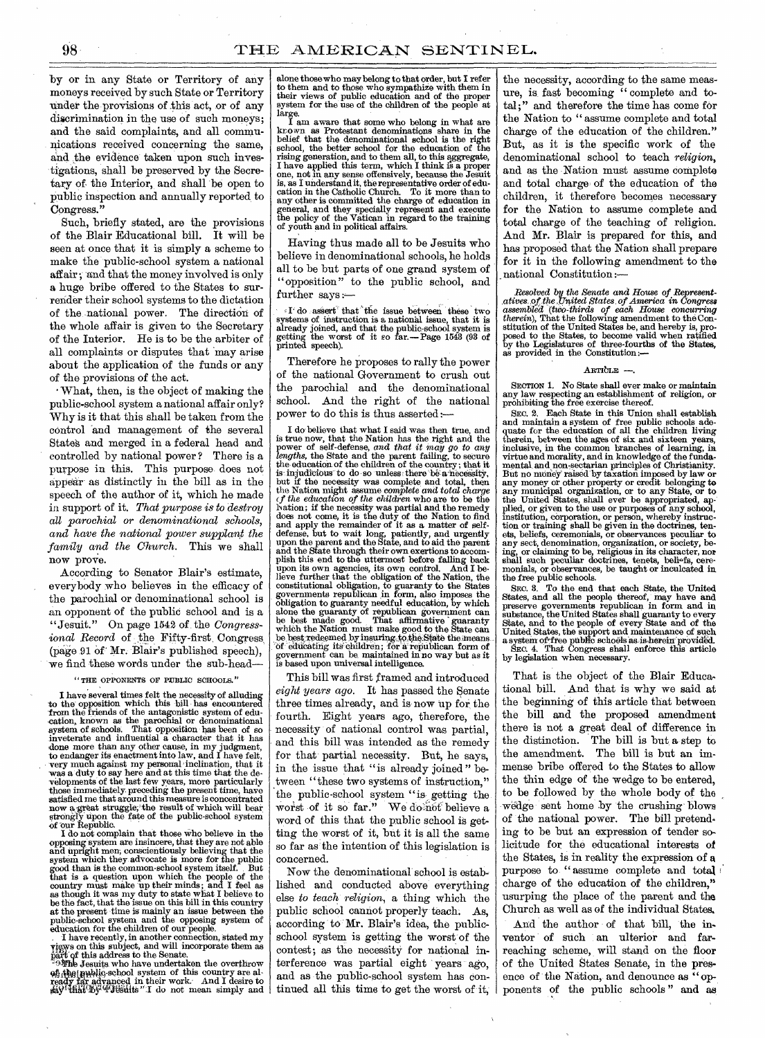by or in any State or Territory of any moneys received by such State or Territory under the provisions of this act, or of any discrimination in the use of such moneys; and the said complaints, and all communications received concerning the same, and the evidence taken upon such investigations, shall be preserved by the Secretary of the Interior, and shall be open to public inspection and annually reported, to Congress."

Such, briefly stated, are the provisions of the Blair Educational bill. It will be seen at once that it is simply a scheme to make the public-school system a national affair; and that the money involved is only a huge bribe offered to the States to surrender their school systems to the dictation of the national power. The direction of the whole affair is given to the Secretary of the Interior. He is to be the arbiter of all complaints or disputes that may arise about the application of the funds or any of the provisions of the act.

• What, then, is the object of making the public-school system a national affair only? Why is it that this shall be taken from the control and management of the several State's and merged in a federal head and controlled by national power ? There is a purpose in this. This purpose does not appear as distinctly in the bill as in the speech of the author of it, which he made in support of it. *That purpose is to destroy all parochial or denominational schools, and have the national power supplant the family and the Church.* This we shall now prove.

According to Senator Blair's estimate, everybody who believes in the efficacy of the parochial or denominational school is an opponent of the public school and is a "Jesuit." On page 1542 of the *Congressional Record* of the Fifty-first Congress (page 91 Of.Mr. Blair's published speech), we find these words under the sub-head—

#### "THE OPPONENTS OF PUBLIC SCHOOLS.

I have several times felt the necessity of alluding to the opposition which this bill has encountered from the friends of the antagonistic system of edu-<br>cation, known as the parochial or denominational<br>system of schools. That opposition has been of so<br>inveterate and influential a character that it has done more than any other cause, in my judgment, to endanger its enactment into law, and I have felt, very much against my personal inclination, that it was a duty to say here and at this time that the developments of the last few years, more particularly those immediately preceding the present time, have<br>satisfied me that around this measure is concentrated<br>now a great struggle, the result of which will bear<br>strongly upon the fate of the public-school system<br>of our Republi

and upright men, conscientiously believing that the system which they advocate is more for the public good than is the common-school system itself. But that is a question upon which the people of the country must make up their minds; and I feel as as though it was my duty to state what I believe to be the fact, that the issue on this bill in this country at the present time is mainly an issue between the public-school system and the opposing system of education for the children of our people.

I have recently, in another connection, stated my vigws on this subject, and will incorporate them as

part of this address to the Senate.<br>
Follah Jesuits who have undertaken the overthrow<br>
of the laudily school system of this country are al-<br>
ready far advanced in their work. And I desire to<br>
gay that by "Jesuits" I do not

alone those who may belong to that order, but I refer to them and to those who sympathize with them in their views of public education and of the proper system for the use of the children of the people at large. I am aware that some who belong in what are

kr o wn as Protestant denominations share in the belief that the denominational school is the right school, the better school for the education of the rising generation, and to them all, to this aggregate, I have applied this term, which I think is a proper one, not in any sense offensively, because the Jesuit is, as I understand it, the representative order of edu-cation in the Catholic Church. To it more than to any other is committed the charge of education in general, and they specially represent and execute the policy of the Vatican in regard to the training of youth and in political affairs.

Having thus made all to be Jesuits who believe in denominational schools, he holds all to be but parts of one grand system of "opposition" to the public school, and further says:-

I do assert that the issue between these two systems of instruction is a national issue, that it is already joined, and that the public-school system is getting the worst of it so far.—Page 1543 (93 of printed speech).

Therefore he proposes to rally the power of the national Government to crush out the parochial and the denominational school. And the right of the national power to do this is thus asserted

I do believe that what I said was then true, and is true now, that the Nation has the right and the power of self-defense, *and that it may go to any lengths,* the State and the parent failing, to secure the education of the children of the country ; that it is injudicious to do so unless there be a necessity, but if the necessity was complete and total, then the Nation might assume *complete and total charge cf the education of the children* who are to be the Nation; if the necessity was partial and the remedy does not come, it is the duty of the Nation to find and apply the remainder of it as a matter of self-defense, but to wait long, patiently, and urgently upon the parent and the State, and to aid the parent and the State through their own exertions to accomplish this end to the uttermost before falling back upon its own agencies, its own control. And I be-lieve further that the obligation of the Nation, the constitutional obligation, to guaranty to the States governments republican in form, also imposes the obligation to guaranty needful education, by which alone the guaranty of republican government can be best made good. That affirmative euraranty which the Nation must make g be best, redeemed by insuring to the State the means. of educating its children; for a republican form of government can be maintained in no way but as it is based upon universal intelligence.

This bill was first framed and introduced *eight years ago.* It has passed the Senate three times already, and is now up for the fourth. Eight years ago, therefore, the necessity of national control was partial, and this bill was intended as the remedy for that partial necessity. But, he says, in the issue that "is already joined " between "these two systems of instruction," the public-school system "is getting theworst of it so far." We do not believe a word of this that the public school is getting the worst of it, but it is all the same so far as the intention of this legislation is concerned.

Now the denominational school is established and conducted above everything else *to teach religion,* a thing which the public school cannot properly-teach. As, according to Mr. Blair's idea, the publicschool system is getting the worst of the contest; as the necessity for national interference- was partial eight years ago, and as the public-school system has continued all this time to get the worst of it,

the necessity, according to the same measure, is fast becoming " complete and total;" and therefore the time has come for the Nation to " assume complete and total charge of the education of the children." But, as it is the specific work of the denominational school to teach *religion,*  and as the Nation must assume complete and total charge of the education of the children, it therefore becomes necessary for the Nation to assume complete and total charge of the teaching of religion. And Mr. Blair is prepared for this, and has proposed that the Nation shall prepare for it in the following amendment to the national Constitution :—

Resolved by the Senate and House of Represent-<br>atives of the United States of America in Congress<br>assembled (two-thirds of each House concurring<br>therein), That the following amendment to the Con-<br>stitution of the United S

#### $\Delta$ RTI $\text{CLE}$  —

SECTION 1. No State shall ever make or maintain any law respecting an establishment of religion, or prohibiting the free exercise thereof.

SEC. 2. Each State in this Union shall establish and maintain a system of free public schools ade-quate for the education of all the children living therein, between the ages of six and sixteen years, inclusive, in the common branches of learning, in virtue and morality, and in knowledge of the fundamental and non-sectarian principles of Christianity.<br>But no money raised by taxation imposed by law or<br>any money or other property or credit belonging to<br>any municipal organization, or to any State, or to<br>the United States ets, beliefs, ceremonials, or observances peculiar to any sect, denomination, organization, or society, being, or claiming to be, religious in its character, nor shall such peculiar doctrines, tenets, beli-fs, ceremonials, or observances, be taught or inculcated in. the free public schools.

SEC. 3. To the end that each State, the United States, and all the people thereof, may have and preserve governments republican in form and in substance, the United States shall guaranty to every State, and to the people of every State and of the United States, the support and maintenance of such a system of free public schools as is herein provided.<br>SEC. 4. That Congress shall enforce this article by legislation when necessary.

That is the object of the Blair Educational bill. And that is why we said at the beginning of this article that between the bill and the proposed amendment there is not a great deal of difference in the distinction. The bill is but a step to the amendment. The bill is but an immense bribe offered to the States to allow the thin edge of the wedge to be entered, to be followed by the whole body of the wedge sent home by the crushing blows of the national power. The bill pretending to be but an expression of tender solicitude for the educational interests of the States, is in reality the expression of a purpose to " assume complete and total charge of the education of the children," usurping the place of the parent and the Church as well as of the individual States.

And the author of that bill, the inventor of such an ulterior and farreaching scheme, will stand on the floor of the United States Senate, in the presence of the Nation, and denounce as "opponents of the public schools " and as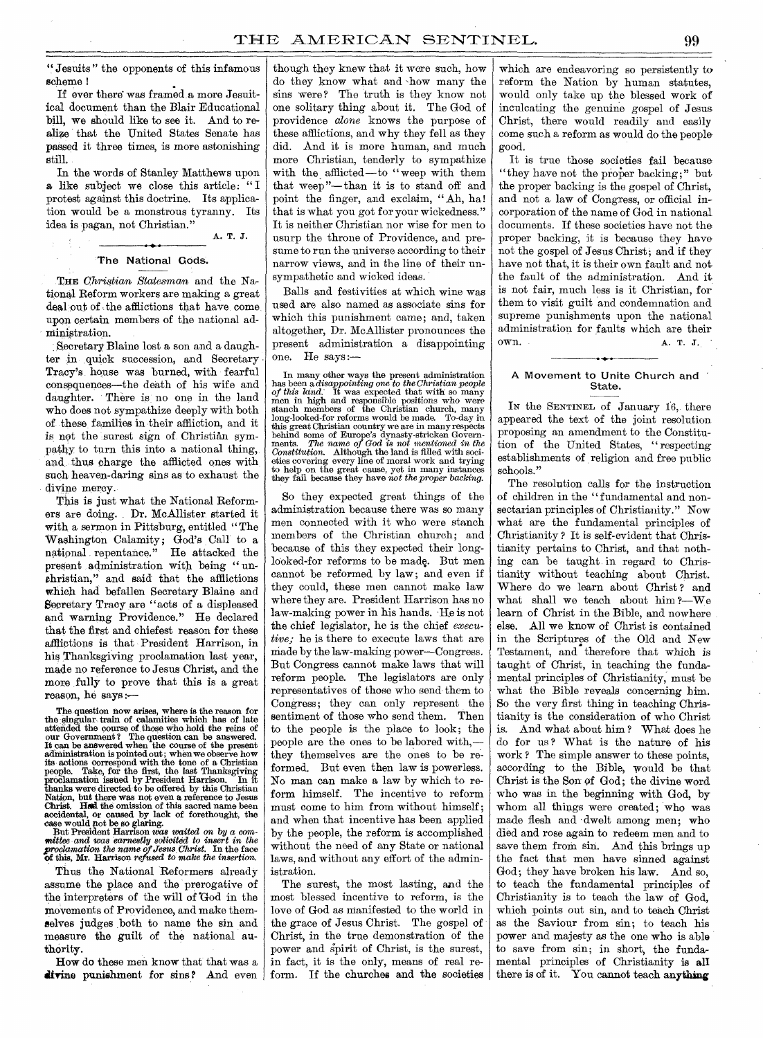" Jesuits " the opponents of this infamous scheme

If ever there was framed a more Jesuitical document than the Blair Educational bill, we should like to see it. And to realize that the United States Senate has passed it three times, is more astonishing still.

In the words of Stanley Matthews upon a like subject we close this article: "I protest against this doctrine. Its application would be a monstrous tyranny. Its idea is pagan, not Christian." A. T. J.

The National Gods.

THE *Christian, Statesman* and the National Reform workers are making a great deal out of the afflictions that have come, upon certain members of the national administration.

Secretary Blaine lost a son and a daughter in quick succession, and Secretary Tracy's house was burned, with fearful consequences—the death of his wife and daughter. There is no one in the land who does not sympathize deeply with both of these families in their affliction, and it is not the surest sign of. Christian sympathy to turn this into a national thing, and, thus charge the afflicted ones with such heaven-daring sins as to exhaust the divine mercy.

This is just what the National Reformers are doing. Dr. McAllister started it with a sermon in Pittsburg, entitled " The Washington Calamity; God's Call' to a national repentance." He attacked the present administration with being " unchristian," and said that the afflictions which had befallen Secretary Blaine and Secretary Tracy are "acts of a displeased and warning Providence." He declared that the first and chiefest reason for these afflictions is that President Harrison, in his Thanksgiving proclamation last year, made no reference to Jesus Christ, and the more fully to prove that this is a great reason, he says :—

The question now arises, where is the reason for<br>the singular train of calamities which has of late<br>attended the course of those who hold the reins of<br>our Government? The question can be answered.<br>It can be answered when t administration is pointed out; when we observe how<br>its actions correspond with the tone of a Christian<br>people. Take, for the first, the last Thanksgiving<br>proclamation issued by President Harrison. In it thanks were directed to be offered by this Christian Nation, but there was not even a reference to Jesus Christ. Held the omission of this sacred name been accidental, or caused by lack of forethought, the case would not be so glaring.<br>But President Harrison *was waited on by a com-*

mittee and was earnestly solicited to insert in the proclamation the name of Jesus Christ. In the face of this, Mr. Harrison *refused* to make the insertion.

Thus the National 'Reformers already assume the place and the prerogative of the interpreters of the will of God in the movements of Providence, and make themselves judges both to name the sin and measure the guilt of the national authority.

How do these men know that that was a divine punishment for sins? And even though they knew that it were such, how do they know what and -how many the sins were? The truth is they know not one solitary thing about it. The God of providence *alone* knows the purpose of these afflictions, and why they fell as they did. And it is more human, and much more Christian, tenderly to sympathize with the afflicted—to "weep with them that weep"— than it is to stand off and point the finger, and exclaim, " Ah, ha! that is what you got for your wickedness." It is neither Christian nor wise for men to usurp the throne of Providence, and presume to run the universe according to their narrow views, and in the line of their unsympathetic and wicked ideas.

Balls and festivities at which wine was used are also named as associate sins for which this punishment came; and, taken altogether, Dr. McAllister pronounces the present administration a disappointing one. He says:-

In many other ways the present administration has been a *disappointing one* to the Christian people of this land. It was expected that with so many men in high and responsible positions who were stanch members of the Christian church, many long-looked-for reforms would be made. To-day in this great Christian country we are in many respects behind some of Europe's dynasty-stricken Governments. The name of God is not mentioned in the *Constitution.* Although the land is filled with soci-eties covering every line of moral work and trying to help on the great cause, yet in many instances they fail because they have *not the proper backing.* 

So they expected great things of the administration because there was so many men connected with it who were stanch members of the Christian church; and because of this they expected their longlooked-for reforms to be made. But men cannot be reformed by law; and even if they could, these men cannot make law where they are. President Harrison has no law-making power in his hands. He is not the chief legislator, he is the chief *executive;* he is there to execute laws that are made by the law-making power—Congress. But Congress cannot make laws that will reform people. The legislators are only representatives of those who send them to Congress; they can only represent the sentiment of those who send them. Then to the people is the place to look; the people are the ones to be labored with, they themselves are the ones to be reformed. But even then law is powerless. No man can make a law by which to reform himself. The incentive to reform must come to him from without himself; and when that incentive has been applied by the people, the reform is accomplished without the need of any State or national laws, and without any effort of the administration.

The surest, the most lasting, and the most blessed incentive to reform, is the love of God as manifested to the world in the grace of Jesus Christ. The gospel of Christ, in the true demonstration of the power and spirit of Christ, is the surest, in fact, it is the only, means of real reform. If the churches and the societies

which are endeavoring so persistently to reform the Nation by human statutes, would only take up the blessed work of inculcating the genuine gospel of Jesus Christ, there would readily and easily come such a reform as would do the people good.

It is true those societies fail because "they have not the proper backing;" but the proper backing is the gospel of Christ, and not a law of Congress, or official incorporation of the name of God in national documents. If these societies have not the proper backing, it is because they have not the gospel of Jesus Christ; and if they have not that, it is their own fault and not the fault of the administration. And it is not fair, much less is it Christian, for them to visit guilt and condemnation and supreme punishments upon the national administration for faults which are their own. A. T. J.

#### A Movement to Unite Church and State.

IN the SENTINEL of January 16, there appeared the text of the joint resolution proposing an amendment to the Constitution of the United States, "respecting establishments of religion and free public schools."

The resolution calls for the instruction of children in the "fundamental and nonsectarian principles of Christianity." Now what are the fundamental principles of Christianity ? It is self-evident that Christianity pertains to Christ, and that nothing can be taught in regard to Christianity without teaching about Christ. Where do we learn about Christ? and what shall we teach about him ?—We learn of Christ in the Bible, and nowhere else. All we know of Christ is contained in the Scriptures of the Old and New Testament, and therefore that which is taught of Christ, in teaching the fundamental principles of Christianity, must be what the Bible reveals concerning him. So the very first thing in teaching Christianity is the consideration of who Christ is. And what about him ? What does he do for us ? What is the nature of his work ? The simple answer to these points, according to the Bible, would be that Christ is the Son of God; the divine word who was in the beginning with God, by whom all things were created; who was made flesh and dwelt among men; who died and rose again to redeem men and to save them from sin. And this brings up the fact that men have sinned against God; they have broken his law. And so, to teach the fundamental principles of Christianity is to teach the law of God, which points out sin, and to teach Christ as the Saviour from sin; to teach his power and majesty as the one who is able to save from sin; in short, the fundamental principles of Christianity is all there is of it. You cannot teach anything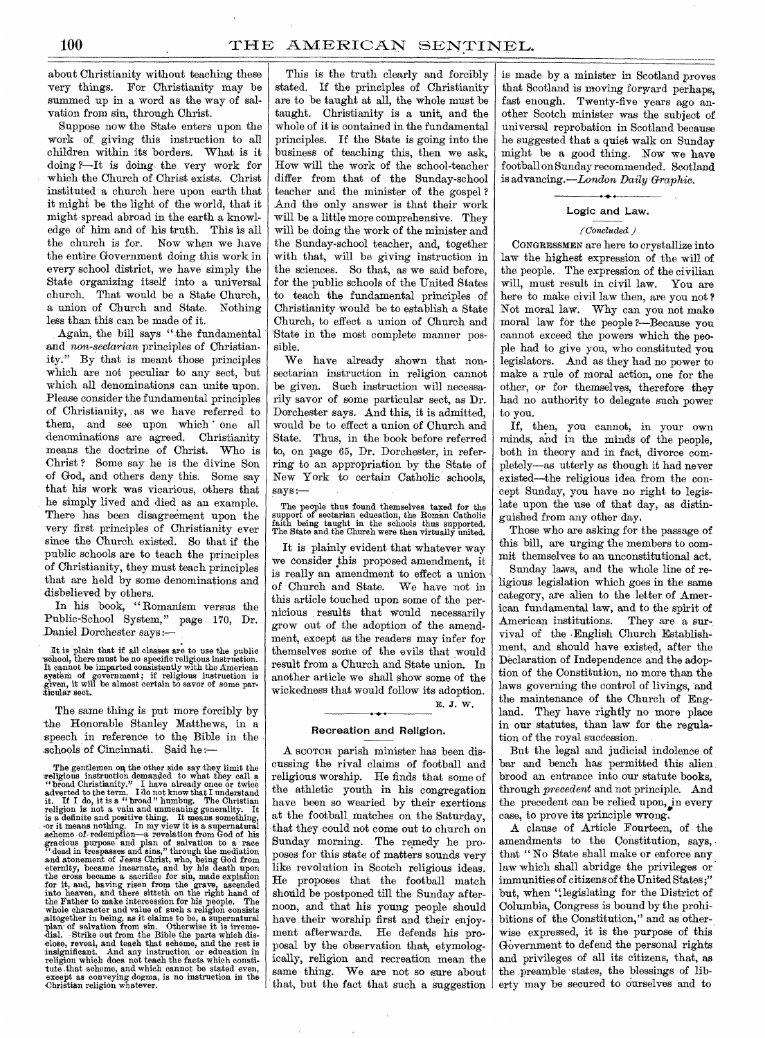about Christianity without teaching these very things. For Christianity may be summed up in a word as the way of salvation from sin, through Christ.

Suppose now the State enters upon the work of giving this instruction to all children within its borders. What is it doing.?--It is doing the very work for which the Church of Christ exists. Christ instituted a church here upon earth that it might be the light of the world, that it might spread abroad in the earth a knowledge of him and of his truth. This is all the church is for. Now when we have the entire Government doing this work in every school district, we have simply the State organizing itself into a universal church. That would be a State Church, a union of Church and State. Nothing less than this can be made of it.

Again, the bill says "the fundamental and *non-sectarian* principles of Christianity." By that is meant those principles which are not peculiar to any sect, but which all denominations can unite upon. Please consider the fundamental principles of Christianity, as we have referred to them, and see upon which one all denominations are agreed. Christianity means the doctrine of Christ. Who is Christ ? Some say he is the divine Son of God, and others deny this. Some say that his work was vicarious, others that he simply lived and died.as an example. There has been disagreement upon the very first principles of Christianity ever since the Church existed. So that if the public schools are to teach the principles of Christianity, they must teach principles that are held by some denominations and disbelieved by others.

In his book, " Romanism versus the Public-School System," page 170, Dr. Daniel Dorchester says :—

It is plain that if all classes are to use the public<br>school, there must be no specific religious instruction.<br>It cannot be imparted consistently with the American<br>system of government; if religious instruction is<br>given, i

The same thing is put more forcibly by the Honorable Stanley Matthews, in a speech in reference to the Bible in the schools of Cincinnati. Said he :—

The gentlemen on the other side say they limit the religious instruction demanded to what they call a "broad Christianity." I have already one or twice  $\alpha$  adverted to the term. I do not know that I understand it. If I d gracious purpose and plan of salvation to a race "dead in trespasses and sins," through the mediation and atonement of Jesus Christ, who, being God from eternity, became incarnate, and by his death upon the cross became a sacrifice for sin, made expiation<br>for it, and, having risen from the grave, ascended<br>into heaven, and there sitteth on the right hand of<br>the Father to make intercession for his people. The<br>whole characte

This is the truth clearly and forcibly stated. If the principles of Christianity are to be taught at all, the whole must be taught. Christianity is a unit, and the whole of it is contained in the fundamental principles. If the State is going into the business of teaching this, then we ask, How will the work of the school-teacher differ from that of the Sunday-school teacher and the minister of the gospel ? And the only answer is that their work will be a little more comprehensive. They will be doing the work of the minister and the Sunday-school teacher, and, together with that, will be giving instruction in the sciences. So that, as we said before, for the public schools of the United States to teach the fundamental principles of Christianity would be to establish a State Church, to effect a union of Church and State in the most complete manner possible.

We have already shown that nonsectarian instruction in religion cannot be given. Such instruction will necessarily savor of some particular sect, as Dr. Dorchester says. And this, it is admitted, would be to effect a union of Church and State. Thus, in the book before referred to, on page 65, Dr. Dorchester, in referring to an appropriation by the State of New York to certain Catholic schools, says:—

The people thus found themselves taxed for the support of sectarian education, the Roman Catholic faith being taught in the schools thus supported. The State and the Church were then virtually united.

It is plainly evident that whatever way we consider this proposed amendment, it is really an amendment to effect a union of Church and State. We have not in this article touched upon some of the pernicious results that would necessarily grow out of the adoption of the amendment, except as the readers may infer for themselves some of the evils that would result from a Church and State union. In another article we shall show some of the wickedness that would follow its adoption. E. J. W.

## Recreation and Religion.

A SCOTCH parish minister has been discussing the rival claims of football and religious worship. He finds that some of the athletic youth in his congregation have been so wearied by their exertions at the football, matches on the Saturday, that they could not come out to church on Sunday morning. The remedy he proposes for this state of matters sounds very like revolution in Scotch religious ideas. He proposes that the football match should be postponed till the Sunday afternoon, and that his young people should have their worship first and their enjoyment afterwards. He defends his proposal by the observation that, etymologically, religion and recreation mean the same thing. We are not so sure about that, but the fact that such a suggestion is made by a minister in Scotland proves that Scotland is moving forward perhaps, fast enough. Twenty-five years ago another Scotch minister was the subject of universal reprobation in Scotland because he suggested that a quiet walk on Sunday might be a good thing. Now we have football on Sunday recommended. Scotland is advancing.—London *Daily Graphic.* 

# $\bullet\bullet$ Logic and Law.

# *(Concluded.)*

CONGRESSMEN are here to crystallize into law the highest expression of the will of the people. The expression of the civilian will, must result in civil law. You are here to make civil law then, are you not ? Not moral law. Why can you not make moral law for the people ?—Because you cannot exceed the powers which the people had to give you, who constituted you legislators. And as they had no power to make a rule of moral action, one for the other, or for themselves, therefore they had no authority to delegate such power to you.

If, then, you cannot, in your own minds, and in the minds of the people, both in theory and in fact, divorce completely—as utterly as though it had never existed—the religious idea from the concept Sunday, you have no right to *legislate* upon the use of that day, as distinguished from any other day,

Those who are asking for the passage of this bill, are urging the members to commit themselves to an unconstitutional act.

Sunday laws, and the whole line of religious legislation which goes in the same category, are alien to the letter of American fundamental law, and to the spirit of American institutions. They are a survival of the English Church Establishment, and should have existed, after the Declaration of Independence and the adoption of the Constitution, no more than the laws governing the control of livings, and the maintenance of the Church of England. They have rightly no more place in our statutes, than law for the regulation of the royal succession.

But the legal and judicial indolence of bar and bench has permitted this alien brood an entrance into our statute books, through *precedent* and not principle. And the precedent can be relied upon, in every case, to prove its principle wrong.

A clause of Article Fourteen, of the amendments to the Constitution, says, that " No State shall make or enforce any law which shall abridge the privileges or immunities of citizens of the United States ;" but, when ".legislating for the District of Columbia, Congress is bound by the prohibitions of the Constitution," and as otherwise expressed, it is the purpose of this Government to defend the personal rights and privileges of all its citizens, that, as the preamble states, the blessings of liberty may be secured to ourselves and to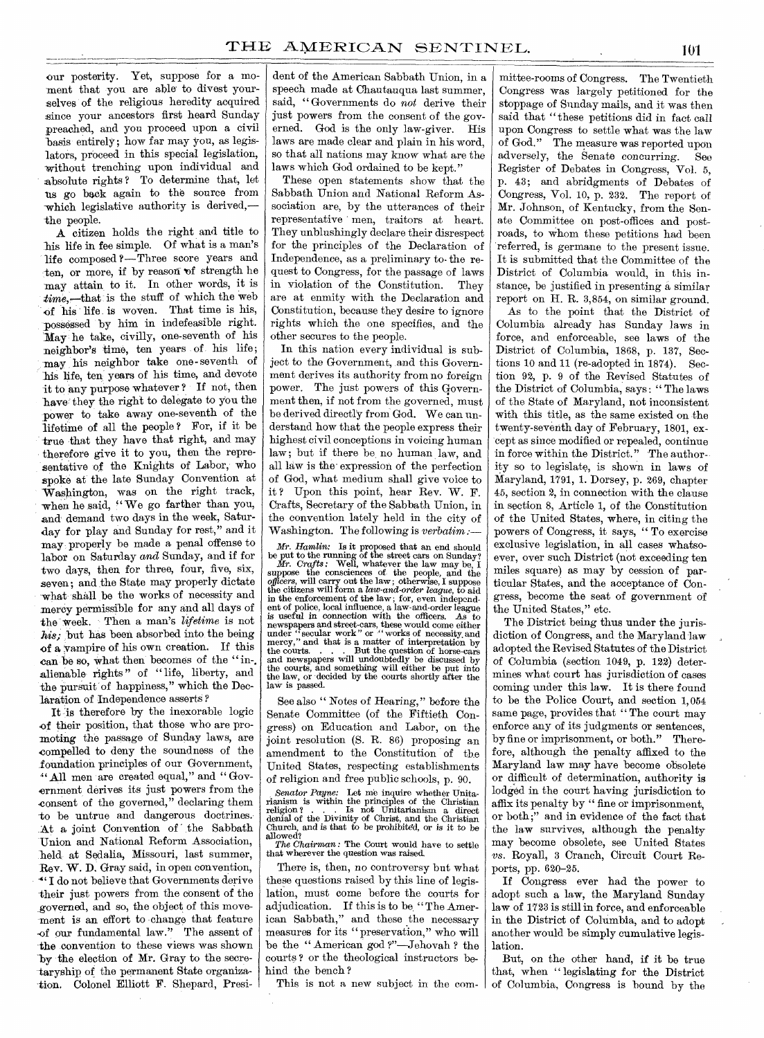our posterity. Yet, suppose for a moment that you are able to divest yourselves of the religious heredity acquired since your ancestors first heard Sunday preached, and you proceed upon a civil basis entirely; how far may you, as legislators, proceed in this special legislation, without trenching upon individual and absolute rights ? To determine that, let us go back again to the source from which legislative authority is derived, the people.

A citizen holds the right and title to his life in fee simple. Of what is a man's life composed ?—Three score years and ten, or more, if by reason of strength he may attain, to it. In other words, it is *time,—that* is the stuff of which the web of his life is woven. That time is his, possessed by him in indefeasible right. May he take, civilly, one-seventh of his neighbor's time, ten years of his life; may his neighbor take one - seventh of his life, ten years of his time, and devote it to any purpose whatever ? If not, then have they the right to delegate to you the power to take away one-seventh of the lifetime of all the people ? For, if it be true that they have that right, and may therefore give it to you, then the representative of the Knights of Labor, who spoke at the late Sunday Convention at Washington, was on the right track, when he said, "We go farther than you, and demand two days in the week, Saturday for play and Sunday for rest," and it may properly be made a penal offense to labor on Saturday *and* Sunday, and if for two days, then for three, four, five, six, seven; and the State may properly dictate what shall be the works of necessity and mercy permissible for any and all days of the week. Then a man's *lifetime* is not his; but has been absorbed into the being of a vampire of his own creation. If this can be so, what then becomes of the "inalienable rights" of "life, liberty, and the pursuit of happiness," which the Declaration of Independence asserts ?

It 'is therefore by the inexorable logic of their position, that those who are promoting the passage of Sunday laws, are compelled to deny the soundness of the foundation principles of our Government, " All men are created equal," and "Govornment derives its just powers from the consent of the governed," declaring them -to be untrue and dangerous doctrines. At a joint Convention of the Sabbath Union and National Reform Association, held at Sedalia, Missouri, last summer, Rev. W. D. Gray said, in open convention, I do not believe that Governments derive their just powers from the consent of the governed, and so, the object of this movement is an effort to change that feature -of our fundamental law." The assent of the convention to these views was shown by the election of Mr. Gray to the secretaryship of the permanent State organization. Colonel Elliott F. Shepard, Presi-

dent of the American Sabbath Union, in a speech made at Chautauqua last summer, said, " Governments do *not* derive their just powers from the consent of the governed. God is the only law-giver. His laws are made clear and plain in his word, so that all nations may know what are the laws which God ordained to be kept."

These open statements show that the Sabbath Union and National Reform Association are, by the utterances of their representative men, traitors at heart. They unblushingly declare their disrespect for the principles of the Declaration of Independence, as a preliminary to- the request to Congress, for the passage of laws in violation of the Constitution. They are at enmity with the Declaration and Constitution, because they desire to ignore rights which the one specifies, and the other secures to the people.

In this nation every individual is subject to the Government, and this Government derives its authority from no foreign power. The just powers of this Government then, if not from the governed, must be derived directly from God. We can understand how that the people express their highest civil conceptions in voicing human law; but if there be no human law, and all law is the' expression of the perfection of God, what medium shall give voice to it ? Upon this point, hear Rev. W. F. Crafts, Secretary of the Sabbath Union, in the convention lately held in the city of Washington. The following is *verbatim*:

Mr. Hamlin: Is it proposed that an end should<br>be put to the running of the street cars on Sunday?<br> $Mr. Craffs$ : Well, whatever the law may be, I<br>suppose the consciences of the people, and the<br>officers, will carry out the law; in the enforcement of the law ; for, even independent of police, local influence, a law-and-order league is useful in connection with the officers. newspapers and street-cars, these would come either<br>under "secular work" or "works of necessity and<br>mercy," and that is a matter of interpretation by<br>the courts.....But the question of horse-cars<br>and newspapers will undoub the courts, and something will either be put into the law, or decided by the courts shortly after the law is passed.

See also " Notes of Hearing," before the Senate Committee (of the Fiftieth Congress) on Education and Labor, on the joint resolution (S. R. 86) proposing an amendment to the Constitution of the United States, respecting establishments of religion and free public schools, p. 90.

*Senator Payne:* Let me inquire whether Unitarianism is within the principles of the Christian religion ? . . . Is not Unitarianism a direct denial of the Divinity of Christ, and the Christian Church, and is that to be prohibited, or is it to be allowed?

*The Chairman :* The Court would have to settle that wherever the question was raised.

There is, then, no controversy but what these questions raised by this line of legislation, must come before the courts for adjudication. If this is to be, "The American Sabbath," and these the necessary measures for its "preservation," who will be the " American god ?"—Jehovah ? the courts ? or the theological instructors behind the bench?

This is not a new subject in the com-

mittee-rooms of Congress. The Twentieth Congress was largely petitioned for the stoppage of Sunday mails, and it was then said that "these petitions did in fact call upon Congress to settle what was the law of God." The measure was reported upon adversely, the Senate concurring. See Register of Debates in Congress, Vol. 5, p. 43; and abridgments of Debates of Congress, Vol. 10,  $\tilde{p}$ . 232. The report of Mr. Johnson, of Kentucky, from the Senate Committee on post-offices and postroads, to whom these petitions had been referred, is germane to the present issue. It is submitted that the Committee of the District of Columbia would, in this instance, be justified in presenting a similar report on H. R. 3,854, on similar ground.

As to the point that the District of Columbia already has Sunday laws in force, and enforceable, see laws of the District of Columbia, 1868, p. 137, Sections 10 and 11 (re-adopted in 1874). Section 92, p. 9 of the Revised Statutes of the District of Columbia, says : " The laws of the State of Maryland, not inconsistent with this title, as the same existed on the twenty-seventh day of February, 1801, except as since modified or repealed, continue in force within the District." The authority so to legislate, is shown in laws of Maryland, 1791, 1. Dorsey, p. 269, chapter 45, section 2, in connection with the clause in section 8, Article 1, of the Constitution of the United States, where, in citing the powers of Congress, it says, " To exercise exclusive legislation, in all cases whatsoever, over such District (not exceeding ten miles square) as may by cession of particular States, and the acceptance of Congress, become the seat of government of the United States," etc.

The District being thus under the jurisdiction of Congress, and the Maryland law adopted the Revised Statutes of the District of Columbia (section 1049, p. 122) determines what court has jurisdiction of cases coming under this law. It is there found to be the Police Court, and section 1,054 same page, provides that "The court may enforce any of its judgments or sentences, by fine or imprisonment, or both." Therefore, although the penalty affixed to the Maryland law may have become obsolete or difficult of determination, authority is lodged in the court having jurisdiction to affix its penalty by " fine or imprisonment, or both ;" and in evidence of the fact that the law survives, although the penalty may become obsolete, see United States vs. Royall, 3 Cranch, Circuit Court Reports, pp. 620-25.

If Congress ever had the power to adopt such a law, the Maryland Sunday law of 1723 is still in force, and enforceable in the District of Columbia, and to adopt another would be simply cumulative legislation.

But, on the other hand, if it be true that, when " legislating for the District of Columbia, Congress is bound by the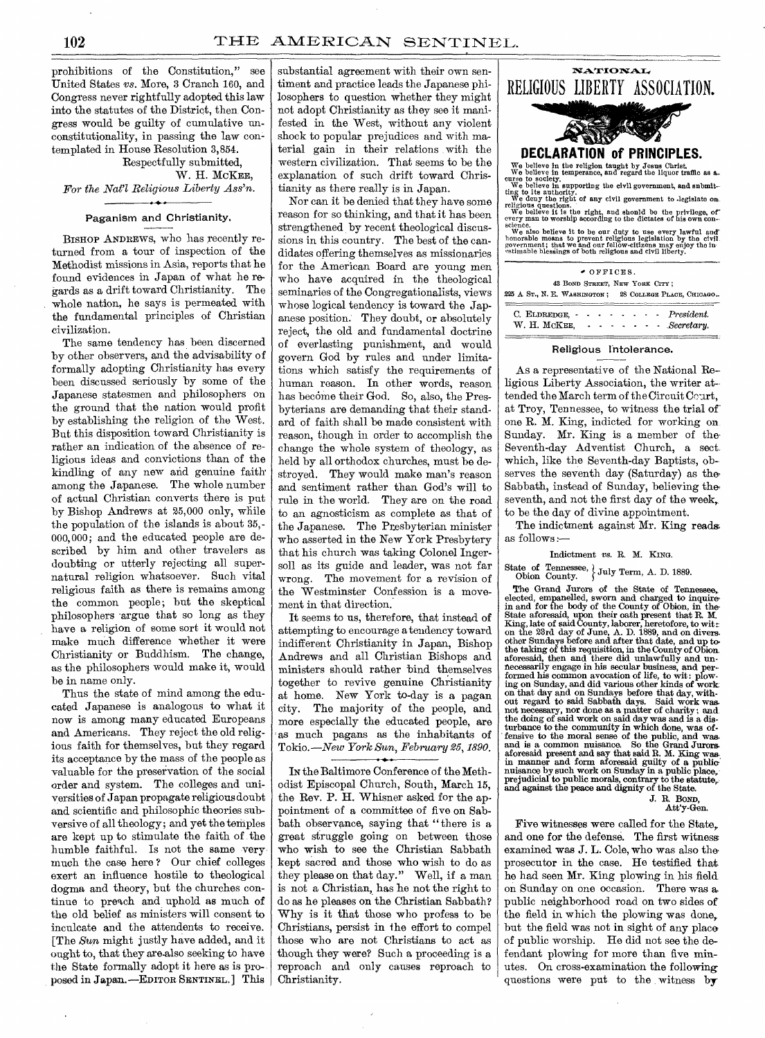prohibitions of the Constitution," see United States vs. More, 3 Cranch 160, and Congress never rightfully adopted this law into the statutes of the District, then, Congress would be guilty of cumulative unconstitutionality, in passing the law contemplated in House Resolution 3,854.

# Respectfully submitted, W. H. McKEE,

*For the Nat'l Religious Liberty Ass'n.* 

# Paganism and Christianity.

BISHOP ANDREWS, who has recently returned from a tour of inspection of the Methodist missions in Asia, reports that he found evidences in Japan of what he regards as a drift toward Christianity. The whole nation, he says is permeated with the fundamental principles of Christian civilization.

The same tendency has been discerned by other observers, and the advisability of formally adopting Christianity has every been discussed seriously by some of the Japanese statesmen and philosophers on the ground that the nation would profit by establishing the religion of the West. But this disposition toward Christianity is rather an indication of the absence of religious ideas and convictions than of the kindling of any new and genuine faith among the Japanese. The whole number of actual Christian converts there is put by Bishop Andrews at 25,000 only, while the population of the islands is about 35,- 000,000; and the educated people are described by him and other travelers as doubting or utterly rejecting all supernatural religion whatsoever. Such vital religious faith as there is remains among the common people; but the skeptical philosophers -argue that so long as they have a religion of some sort it would not make much difference whether it were Christianity or Buddhism. The change, as the philosophers would make it, would be in name only.

Thus the state of mind among the educated Japanese is analogous to what it now is among many educated Europeans and Americans. They reject the old religious faith for themselves, but they regard its acceptance by the mass of the people as valuable for the preservation of the social order and system. The colleges and universities of Japan propagate religious doubt and scientific and philosophic theories subversive of all theology ; and yet the temples are kept up to stimulate the faith of .the humble faithful. Is not the same verymuch the case here ? Our chief colleges exert an influence hostile to theological dogma and theory, but the churches continue to preach and uphold as much of the old belief as ministers will consent to inculcate and the attendants to receive. [The *Sun* might justly have added, and it ought to, that they are-also seeking to have the State formally adopt it here as is proposed in Japan.—EDITOR SENTINEL.] This

substantial agreement with their own sentiment and practice leads the Japanese philosophers to question whether they might not adopt Christianity as they see it manifested in the West, without any violent shock to popular prejudices and with material gain in their relations with the western civilization. That seems to be the explanation of such drift toward Christianity as there really is in Japan.

Nor can it be denied that they have some reason for so thinking, and that it has been strengthened by recent theological discussions in this country. The best of the candidates offering themselves as missionaries for the American Board are young men who have acquired in the theological seminaries of the Congregationalists, views whose logical tendency is toward the Japanese position. They doubt, or absolutely reject, the old and fundamental doctrine of everlasting punishment, and would govern God by rules and under limitations which satisfy the requirements of human reason. In other words, reason has become their God. So, also, the Presbyterians are demanding that their standard of faith shall be made consistent with reason, though in order to accomplish the change the whole system of theology, as held by all orthodox churches, must be destroyed. They would make man's reason and sentiment rather than God's will to rule in the world. They are on the road to an agnosticism as complete as that of the Japanese. The Presbyterian minister who asserted in the New York Presbytery that his church was taking Colonel Ingersoll as its guide and leader, was not far wrong. The movement for a revision of the Westminster Confession is a movement in that direction.

It seems to us, therefore, that instead of attempting to encourage a tendency toward indifferent Christianity in. Japan, Bishop Andrews and all Christian Bishops and ministers should rather bind themselves together to revive genuine Christianity at home. New York to-day is a pagan city. The majority of the people, and more especially the educated people, are as much pagans as the inhabitants of Tokio. *—New York Sun, February 25, 1890.* 

IN the Baltimore Conference of the Methodist Episcopal Church, South, March 15, the Rev. P. H. Whisner asked for the appointment of a committee of five on Sabbath observance, saying that " there is a great struggle going on between those who wish to see the Christian Sabbath kept sacred and those who wish to do as they please on that day." Well, if a man is not a Christian, has he not the right to do as he pleases on the Christian Sabbath? Why is it that those who profess to be Christians, persist in the effort to compel those who are not Christians to act as though they were? Such a proceeding is a reproach and only causes reproach to Christianity.

| <b>NATIONAL</b>                                                                                                                                                                                                                                                                                                                                                                                                                                                                                                                                                                                                                                                                                                                 |
|---------------------------------------------------------------------------------------------------------------------------------------------------------------------------------------------------------------------------------------------------------------------------------------------------------------------------------------------------------------------------------------------------------------------------------------------------------------------------------------------------------------------------------------------------------------------------------------------------------------------------------------------------------------------------------------------------------------------------------|
| RELIGIOUS LIBERTY ASSOCIATION.                                                                                                                                                                                                                                                                                                                                                                                                                                                                                                                                                                                                                                                                                                  |
|                                                                                                                                                                                                                                                                                                                                                                                                                                                                                                                                                                                                                                                                                                                                 |
| DECLARATION of PRINCIPLES.                                                                                                                                                                                                                                                                                                                                                                                                                                                                                                                                                                                                                                                                                                      |
| We believe in the religion taught by Jesus Christ,<br>We believe in temperance, and regard the liquor traffic as $a$ .<br>curse to society.<br>We believe in supporting the civil government, and snbmit-<br>ting to its authority.<br>We deny the right of any civil government to legislate on.<br>religious questions.<br>We believe it is the right, and shonld be the privilege, of<br>every man to worship according to the dictates of his own con-<br>science.<br>We also believe it to be our duty to use every lawful and honorable means to prevent religious legislation by the civil.<br>government; that we and our fellow-citizens may enjoy the in-<br>estimable blessings of both religious and civil liberty. |
| OFFICES.                                                                                                                                                                                                                                                                                                                                                                                                                                                                                                                                                                                                                                                                                                                        |
| 43 BOND STREET, NEW YORK CITY;<br>225 A ST., N. E. WASHINGTON; 28 COLLEGE PLACE, CHICAGO                                                                                                                                                                                                                                                                                                                                                                                                                                                                                                                                                                                                                                        |
| President.<br>C. ELDREDGE,                                                                                                                                                                                                                                                                                                                                                                                                                                                                                                                                                                                                                                                                                                      |

### Religious Intolerance.

*Secretary.* 

W. H. McKEE,

As a representative of the National Religious Liberty Association, the writer at-  $tended the March term of the Circuit C<sub>crit</sub>,$ at Troy, Tennessee, to witness the trial ofone R. M. King, indicted for working on Sunday. Mr. King is a member of the-Seventh-day Adventist Church, a sect which, like the Seventh-day Baptists, observes the seventh day (Saturday) as the-Sabbath, instead of Sunday, believing the seventh, and not the first day of the week, to be the day of divine appointment.

The indictment against Mr. King reads as follows :—

Indictment vs. R. M. KING.

State of Tennessee,  $\overline{\bigcup_{\text{Cavity}}}$  Term, A. D. 1889.

The Grand Jurors of the State of Tennessee, elected, empanelled, sworn and charged to inquire<br>in and for the body of the County of Obion, in the-State aforesaid, upon their oath present that R. M.<br>King, late of said County, laborer, heretofore, to wit:<br>on the 23rd day of June, A. D. 1889, and on diverse<br>other Sundays before and after that date, and up to<br>the taking necessarily engage in his secular business, and per-formed his common avocation of life, to wit : plowing on Sunday, and did various other kinds of work<br>on that day and on Sundays before that day, with-<br>out regard to said Sabbath days. Said work was<br>not necessary, nor done as a matter of charity; and<br>the doing of said work aforesaid present and say that said R. M. King was. in manner and form aforesaid guilty of a public: nuisance by such work on Sunday in a public place, prejudicial to public morals, contrary to the statute,. and against the peace and dignity of the State.

J. R. BOND, Att'y-Gen.

Five witnesses were called for the State,. and one for the defense. The first witness examined was J. L. Cole, who was also the. prosecutor in the case. He testified that he had seen Mr. King plowing in his field on Sunday on one occasion. There was a public neighborhood road on two sides of the field in which the plowing was done, but the field was not in sight of any place of public worship. He did not see the defendant plowing for more than five minutes. On cross-examination the following questions were put to the witness by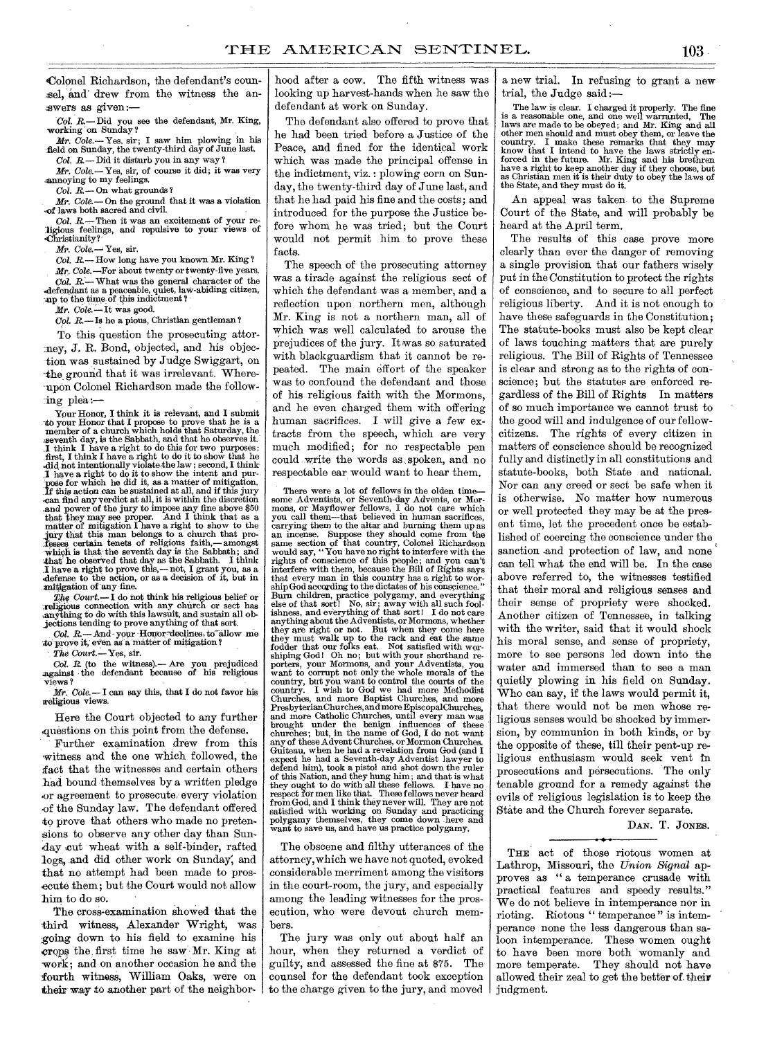Colonel Richardson, the defendant's coun sel, and drew from the witness the an-.swers as given *:—* 

*Col. R.— Did* you see the defendant, Mr. King, working on Sunday ?

*Mr. Cole.*— Yes, sir; I saw him plowing in his field on Sunday, the twenty-third day of June last. *Col R.— Did* it disturb you in any way ?

*Mr. Cole.—* Yes, sir, of course it did; it was very annoying to my feelings.

*Col. R.—* On what grounds ?

*Mr. Cola—* On the ground that it was a violation ,of laws both sacred and civil.

*Col. R.—Then* it was an excitement of your re-ligious feelings, and repulsive to your views of 'Christianity?'

*Mr. Cole.—Yes,* sir.

*Col. R.—How* long have you known Mr. King ?

Mr. Cole.--For about twenty or twenty-five years. *Col. R.—* What was the general character of the defendant as a peaceable, quiet, law-abiding citizen, any to the time-of this indictment?

*Mr. Cole. --* It was good.

*Col. R.—Is* ho a pious, Christian gentleman ?

To this question the prosecuting attorney, J. R. Bond, objected, and his objection was sustained by Judge Swiggart, on -the ground that it was irrelevant. Whereupon Colonel Richardson made the follow- $\lim g$  plea :

Your Honor, I think it is relevant, and I submit to your Honor that I propose to prove that he is a member of a church which holds that Saturday, the seventh day, is the Sabbath, and that he observes it.<br>I think I have a right to do this for two purposes:<br>first, I think I have a right to do it to show that he<br>did not int I have a right to do it to show the intent and pur-<br>pose for which he did it, as a matter of mitigation. If this action can be sustained at all, and if this jury -can find any verdict at all, it is within the discretion and power of the jury to impose any fine above \$50 that they may see proper. And I think that as a matter of mitigation I have a right to show to the jury that this man belongs to a church that professes certain tenets of religious faith,— amongst which is that the seventh day is the Sabbath; and that he observed that day as the Sabbath. I think I have a right to prove this,—not, I grant you, as a defense to the action, or as a decision of it, but in mitigation of any fine.

The Court.-I do not think his religious belief or religious connection with any church or sect has anything to do with this lawsuit, and sustain all objections tending to prove anything of that sort.

*Col. R.—* And- your Honor deehries to-allow me to prove it, even as a matter of mitigation?

The Court.-Yes, sir.

*Col. R.* (to the witness).— Are you prejudiced against the defendant because of his religious views ?

*Mr. Cole.—* I can say this, that I do not favor his weligious views.

Here the Court objected to any further questions on this point from the defense.

Further examination drew from this witness and the one which followed, the fact that the witnesses and certain others had bound themselves by a written pledge ,or agreement to prosecute. every violation .of the Sunday law. The defendant offered to prove that others who made no pretensions to observe any other day than Sunday cut wheat with a self-binder, rafted logs, and did other work on. Sunday; and that no attempt had been made to prosecute them; but the Court would not allow him to do so.

The cross-examination showed that the third witness, Alexander Wright, was :going down to his field to examine his Crops the, first time he saw Mr. King at work; and on another occasion he and the fourth witness, William Oaks, were on their way to another part of the neighbor-

hood after a cow. The fifth witness was looking up harvest-hands when he saw the defendant at work on Sunday.

The defendant also offered to prove that he had been tried before a Justice of the Peace, and fined for the identical work which was made the principal offense in the indictment, viz.: plowing corn on Sunday, the twenty-third day of June last, and that he had paid his fine and the costs; and introduced for the purpose the Justice before whom he was tried; but the Court would not permit him to prove these facts.

The speech of the prosecuting attorney was a tirade against the religious sect of which the defendant was a member, and a reflection upon northern men, although Mr. King is not a northern man, all of which was well calculated to arouse the prejudices of the jury. It was so saturated with blackguardism that it cannot be repeated. The main effort of the speaker was to confound the defendant and those of his religious faith with the Mormons, and he even charged them with offering human sacrifices. I will *give* a few extracts from the speech, which are very much modified; for no respectable pen could write the words as , spoken, and no respectable ear would want to hear them.

There were a lot of fellows in the olden time some Adventists, or Seventh-day Advents, or Mor-mons, or Mayflower fellows, I do not care which you call them—that believed in human sacrifices, carrying them to the altar and burning them up as an incense. Suppose they should come from the same section of that country, Colonel Richardson would say, "You have no right to interfere with the<br>rights of conscience of this people; and you can't<br>interfere with them, because the Bill of Rights says<br>that every man in this country has a right to wor-<br>shipGod accordi Burn children, practice polygamy, and everything else of that sort! No, sir; away with all such fool-ishness, and everything of that sort! I do not care anything about the Adventists, or Mormons, whether they are right or not. But when they come here they must walk up to the rack and eat the same fodder that our folks eat. Not satisfied with worshiping God! Oh no; but with your shorthand reporters, your Mormons, and your Adventists, you want to corrupt not only the whole morals of the country, but you want to control the courts of the<br>country. I wish to God we had more Methodist<br>Churches, and more Baptist Churches, and more<br>PresbyterianChurches, and more EpiscopalChurches,<br>and more Catholic Churches, un churches; but, in the name of God, I do not want any of these Advent Churches, or Mormon Churches. Guiteau, when he had a revelation from God (and I expect he had a Seventh-day Adventist lawyer to defend him), took a pistol and shot down the ruler of this Nation, and they hung him; and that is what they ought to do with all these fellows. I have no: respect for men like that. These fellows never heard from God, and I think they never will. They are not satisfied with working on Sunday and practicing polygamy themselves, they come down here and want to save us, and have us practice polygamy.

The obscene and filthy utterances of the attorney, which we have not quoted, evoked considerable merriment among the visitors in the court-room, the jury, and especially among the leading witnesses for the prosecution, who were devout church members.

The jury was only out about half an hour, when they returned a verdict of guilty, and assessed the fine at \$75. The counsel for the defendant took exception to the charge given to the jury, and moved a new trial. In refusing to grant a new trial, the Judge said:

The law is clear. I charged it properly. The fine is a reasonable one, and one well warranted, The laws are made to be obeyed; and Mr. King and all other men should and must obey them, or leave the country. I make these remarks that they may know that I intend to have the laws strictly enforced in the future. Mr. King and his brethren have a right to keep another day if they choose, but as Christian men it is their duty to obey the laws of the State, and they must do it.

An appeal was taken to the Supreme Court of the State, and will probably be heard at the April term.

The results of this case prove more clearly than ever the danger of removing a single provision that our fathers wisely put in the Constitution to protect the rights of conscience, and to secure to all perfect religious liberty. And it is not enough to have these safeguards in the Constitution; The statute-books must also be kept clear of laws touching matters that are purely religious. The Bill of Rights of Tennessee is clear and strong as to the rights of conscience; but the statutes are enforced regardless of the Bill of Rights In matters of so much importance we cannot trust to the good will and indulgence of our fellowcitizens. The rights of every citizen in matters of conscience should be recognized fully and distinctly in all constitutions and statute-books, both State and national. Nor can any creed or sect be safe when it is otherwise. No matter how numerous or well protected they may be at the present time, let the precedent once be established of coercing the conscience under the sanction and protection of law, and none can tell what the end will be. In the case above referred to, the witnesses testified that their moral and religious senses and their sense of propriety were shocked. Another citizen of Tennessee, in talking with the writer, said that it would shock his moral sense, and sense of propriety, more to see persons led down into the water and immersed than to see a man quietly plowing in his field on Sunday. Who can say, if the laws would permit it, that there would not be men whose religious senses would be shocked by immersion, by communion in both kinds, or by the opposite of these, till their pent-up religious enthusiasm would seek vent in prosecutions and persecutions. The only tenable ground for a remedy against the evils of religious legislation is to keep the State and the Church forever separate.

DAN. T. JONES.

THE act of those riotous women at Lathrop, Missouri, the *Union Signal* approves as "a temperance crusade with practical features and speedy results." We do not believe in intemperance nor in rioting. Riotous " temperance " is intemperance none the less dangerous than saloon intemperance. These women ought to have been 'more both 'womanly and more temperate. They should not have allowed their zeal to get the better of their judgment.